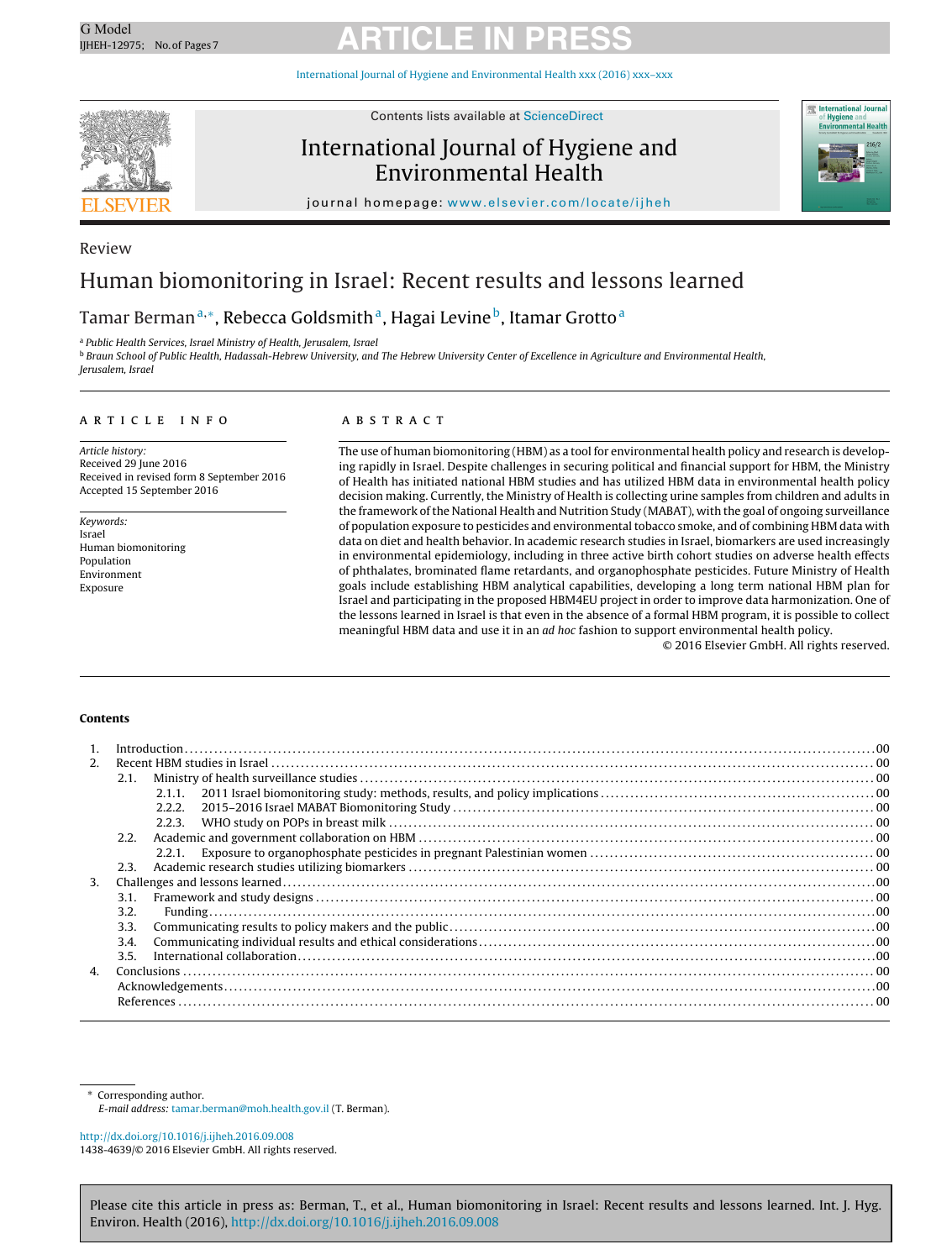International Journal of Hygiene and [Environmental](dx.doi.org/10.1016/j.ijheh.2016.09.008) Health xxx (2016) xxx–xxx



Review

Contents lists available at [ScienceDirect](http://www.sciencedirect.com/science/journal/14384639)

### International Journal of Hygiene and Environmental Health



iournal homepage: [www.elsevier.com/locate/ijheh](http://www.elsevier.com/locate/ijheh)

### Human biomonitoring in Israel: Recent results and lessons learned

### Tamar Berman<sup>a,</sup>\*, Rebecca Goldsmith<sup>a</sup>, Hagai Levine<sup>b</sup>, Itamar Grotto<sup>a</sup>

<sup>a</sup> Public Health Services, Israel Ministry of Health, Jerusalem, Israel

**b Braun School of Public Health, Hadassah-Hebrew University, and The Hebrew University Center of Excellence in Agriculture and Environmental Health,** 

Jerusalem, Israel

#### a r t i c l e i n f o

Article history: Received 29 June 2016 Received in revised form 8 September 2016 Accepted 15 September 2016

Keywords: Israel Human biomonitoring Population Environment Exposure

### a b s t r a c t

The use of human biomonitoring (HBM) as a tool for environmental health policy and research is developing rapidly in Israel. Despite challenges in securing political and financial support for HBM, the Ministry of Health has initiated national HBM studies and has utilized HBM data in environmental health policy decision making. Currently, the Ministry of Health is collecting urine samples from children and adults in the framework ofthe National Health and Nutrition Study (MABAT), with the goal of ongoing surveillance of population exposure to pesticides and environmentaltobacco smoke, and of combining HBM data with data on diet and health behavior. In academic research studies in Israel, biomarkers are used increasingly in environmental epidemiology, including in three active birth cohort studies on adverse health effects of phthalates, brominated flame retardants, and organophosphate pesticides. Future Ministry of Health goals include establishing HBM analytical capabilities, developing a long term national HBM plan for Israel and participating in the proposed HBM4EU project in order to improve data harmonization. One of the lessons learned in Israel is that even in the absence of a formal HBM program, it is possible to collect meaningful HBM data and use it in an ad hoc fashion to support environmental health policy.

© 2016 Elsevier GmbH. All rights reserved.

#### **Contents**

| $2^{\circ}$    |      |        |  |  |  |
|----------------|------|--------|--|--|--|
|                | 2.1. |        |  |  |  |
|                |      | 2.1.1  |  |  |  |
|                |      | 2.2.2. |  |  |  |
|                |      | 2.2.3. |  |  |  |
|                | 2.2. |        |  |  |  |
|                |      | 2.2.1. |  |  |  |
|                | 2.3. |        |  |  |  |
| 3.             |      |        |  |  |  |
|                | 3.1. |        |  |  |  |
|                | 3.2. |        |  |  |  |
|                | 3.3. |        |  |  |  |
|                | 3.4. |        |  |  |  |
|                | 3.5. |        |  |  |  |
| $\overline{4}$ |      |        |  |  |  |
|                |      |        |  |  |  |
|                |      |        |  |  |  |
|                |      |        |  |  |  |

∗ Corresponding author.

E-mail address: [tamar.berman@moh.health.gov.il](mailto:tamar.berman@moh.health.gov.il) (T. Berman).

[http://dx.doi.org/10.1016/j.ijheh.2016.09.008](dx.doi.org/10.1016/j.ijheh.2016.09.008) 1438-4639/© 2016 Elsevier GmbH. All rights reserved.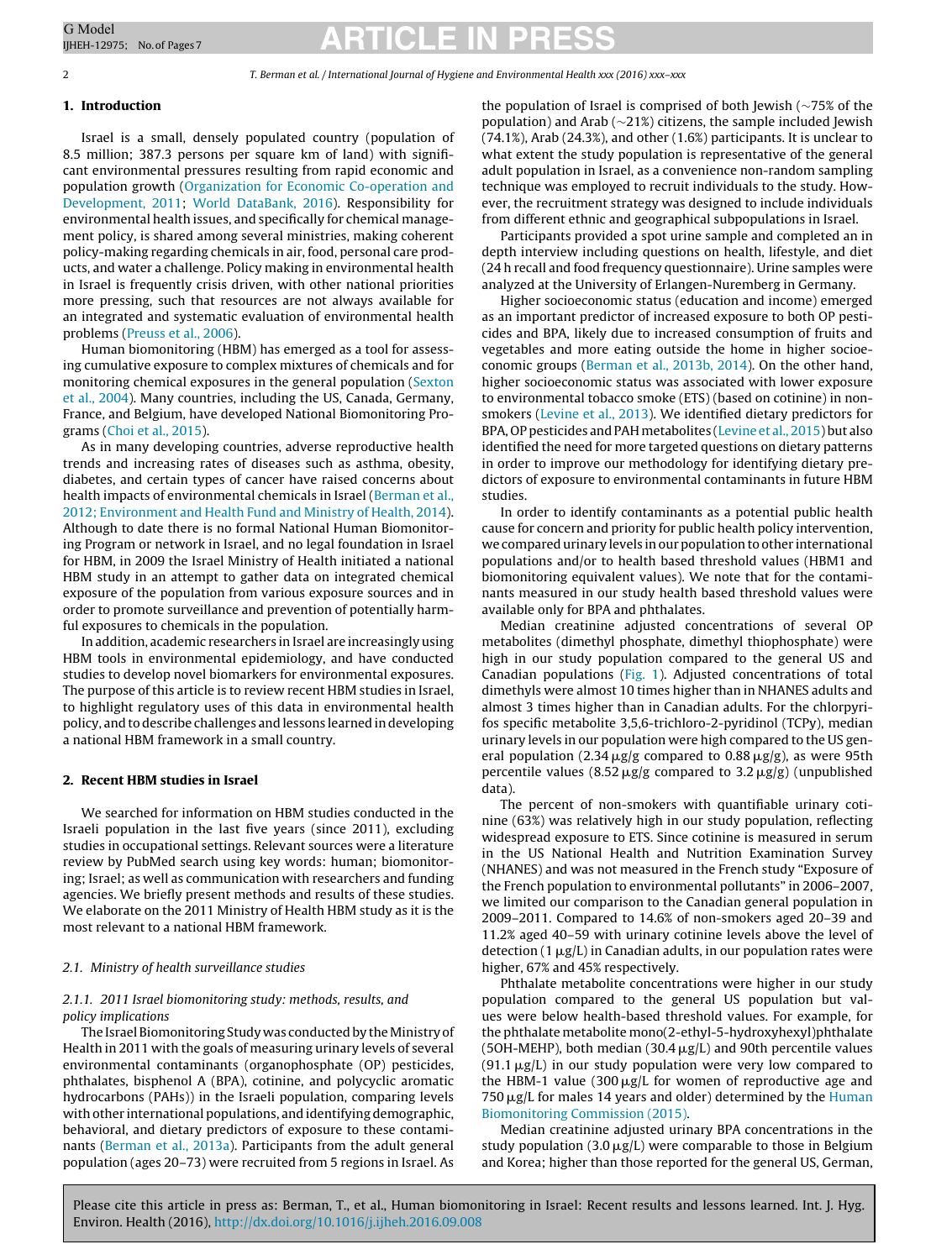2 T. Berman et al. / International Journal of Hygiene and Environmental Health xxx (2016) xxx–xxx

**1. Introduction**

Israel is a small, densely populated country (population of 8.5 million; 387.3 persons per square km of land) with significant environmental pressures resulting from rapid economic and population growth [\(Organization](#page-6-0) [for](#page-6-0) [Economic](#page-6-0) [Co-operation](#page-6-0) [and](#page-6-0) [Development,](#page-6-0) [2011;](#page-6-0) [World](#page-6-0) [DataBank,](#page-6-0) [2016\).](#page-6-0) Responsibility for environmental health issues, and specifically for chemical management policy, is shared among several ministries, making coherent policy-making regarding chemicals in air, food, personal care products, and water a challenge. Policy making in environmental health in Israel is frequently crisis driven, with other national priorities more pressing, such that resources are not always available for an integrated and systematic evaluation of environmental health problems [\(Preuss](#page-6-0) et [al.,](#page-6-0) [2006\).](#page-6-0)

Human biomonitoring (HBM) has emerged as a tool for assessing cumulative exposure to complex mixtures of chemicals and for monitoring chemical exposures in the general population [\(Sexton](#page-6-0) et [al.,](#page-6-0) [2004\).](#page-6-0) Many countries, including the US, Canada, Germany, France, and Belgium, have developed National Biomonitoring Programs ([Choi](#page-6-0) et [al.,](#page-6-0) [2015\).](#page-6-0)

As in many developing countries, adverse reproductive health trends and increasing rates of diseases such as asthma, obesity, diabetes, and certain types of cancer have raised concerns about health impacts of environmental chemicals in Israel [\(Berman](#page-6-0) et [al.,](#page-6-0) [2012;](#page-6-0) [Environment](#page-6-0) [and](#page-6-0) [Health](#page-6-0) [Fund](#page-6-0) [and](#page-6-0) [Ministry](#page-6-0) [of](#page-6-0) [Health,](#page-6-0) [2014\).](#page-6-0) Although to date there is no formal National Human Biomonitoring Program or network in Israel, and no legal foundation in Israel for HBM, in 2009 the Israel Ministry of Health initiated a national HBM study in an attempt to gather data on integrated chemical exposure of the population from various exposure sources and in order to promote surveillance and prevention of potentially harmful exposures to chemicals in the population.

In addition, academic researchers in Israel are increasingly using HBM tools in environmental epidemiology, and have conducted studies to develop novel biomarkers for environmental exposures. The purpose of this article is to review recent HBM studies in Israel, to highlight regulatory uses of this data in environmental health policy, and to describe challenges and lessons learned in developing a national HBM framework in a small country.

### **2. Recent HBM studies in Israel**

We searched for information on HBM studies conducted in the Israeli population in the last five years (since 2011), excluding studies in occupational settings. Relevant sources were a literature review by PubMed search using key words: human; biomonitoring; Israel; as well as communication with researchers and funding agencies. We briefly present methods and results of these studies. We elaborate on the 2011 Ministry of Health HBM study as it is the most relevant to a national HBM framework.

### 2.1. Ministry of health surveillance studies

#### 2.1.1. 2011 Israel biomonitoring study: methods, results, and policy implications

The Israel Biomonitoring Study was conducted by the Ministry of Health in 2011 with the goals of measuring urinary levels of several environmental contaminants (organophosphate (OP) pesticides, phthalates, bisphenol A (BPA), cotinine, and polycyclic aromatic hydrocarbons (PAHs)) in the Israeli population, comparing levels with other international populations, and identifying demographic, behavioral, and dietary predictors of exposure to these contaminants [\(Berman](#page-6-0) et [al.,](#page-6-0) [2013a\).](#page-6-0) Participants from the adult general population (ages 20–73) were recruited from 5 regions in Israel. As

the population of Israel is comprised of both Jewish (∼75% of the population) and Arab (∼21%) citizens, the sample included Jewish (74.1%), Arab (24.3%), and other (1.6%) participants. It is unclear to what extent the study population is representative of the general adult population in Israel, as a convenience non-random sampling technique was employed to recruit individuals to the study. However, the recruitment strategy was designed to include individuals from different ethnic and geographical subpopulations in Israel.

Participants provided a spot urine sample and completed an in depth interview including questions on health, lifestyle, and diet (24 h recall and food frequency questionnaire). Urine samples were analyzed at the University of Erlangen-Nuremberg in Germany.

Higher socioeconomic status (education and income) emerged as an important predictor of increased exposure to both OP pesticides and BPA, likely due to increased consumption of fruits and vegetables and more eating outside the home in higher socioeconomic groups ([Berman](#page-6-0) et [al.,](#page-6-0) [2013b,](#page-6-0) [2014\).](#page-6-0) On the other hand, higher socioeconomic status was associated with lower exposure to environmental tobacco smoke (ETS) (based on cotinine) in nonsmokers [\(Levine](#page-6-0) et [al.,](#page-6-0) [2013\).](#page-6-0) We identified dietary predictors for BPA, OP pesticides and PAHmetabolites [\(Levine](#page-6-0) et [al.,](#page-6-0) [2015\)](#page-6-0) but also identified the need for more targeted questions on dietary patterns in order to improve our methodology for identifying dietary predictors of exposure to environmental contaminants in future HBM studies.

In order to identify contaminants as a potential public health cause for concern and priority for public health policy intervention, we compared urinary levels in our population to other international populations and/or to health based threshold values (HBM1 and biomonitoring equivalent values). We note that for the contaminants measured in our study health based threshold values were available only for BPA and phthalates.

Median creatinine adjusted concentrations of several OP metabolites (dimethyl phosphate, dimethyl thiophosphate) were high in our study population compared to the general US and Canadian populations [\(Fig.](#page-2-0) 1). Adjusted concentrations of total dimethyls were almost 10 times higher than in NHANES adults and almost 3 times higher than in Canadian adults. For the chlorpyrifos specific metabolite 3,5,6-trichloro-2-pyridinol (TCPy), median urinary levels in our population were high compared to the US general population (2.34  $\mu$ g/g compared to 0.88  $\mu$ g/g), as were 95th percentile values (8.52  $\mu$ g/g compared to 3.2  $\mu$ g/g) (unpublished data).

The percent of non-smokers with quantifiable urinary cotinine (63%) was relatively high in our study population, reflecting widespread exposure to ETS. Since cotinine is measured in serum in the US National Health and Nutrition Examination Survey (NHANES) and was not measured in the French study "Exposure of the French population to environmental pollutants" in 2006–2007, we limited our comparison to the Canadian general population in 2009–2011. Compared to 14.6% of non-smokers aged 20–39 and 11.2% aged 40–59 with urinary cotinine levels above the level of detection (1  $\mu$ g/L) in Canadian adults, in our population rates were higher, 67% and 45% respectively.

Phthalate metabolite concentrations were higher in our study population compared to the general US population but values were below health-based threshold values. For example, for the phthalate metabolite mono(2-ethyl-5-hydroxyhexyl)phthalate (5OH-MEHP), both median (30.4  $\mu$ g/L) and 90th percentile values  $(91.1 \,\mu g/L)$  in our study population were very low compared to the HBM-1 value (300  $\mu$ g/L for women of reproductive age and 750 µg/L for males 14 years and older) determined by the [Human](#page-6-0) [Biomonitoring](#page-6-0) [Commission](#page-6-0) [\(2015\).](#page-6-0)

Median creatinine adjusted urinary BPA concentrations in the study population (3.0  $\mu$ g/L) were comparable to those in Belgium and Korea; higher than those reported for the general US, German,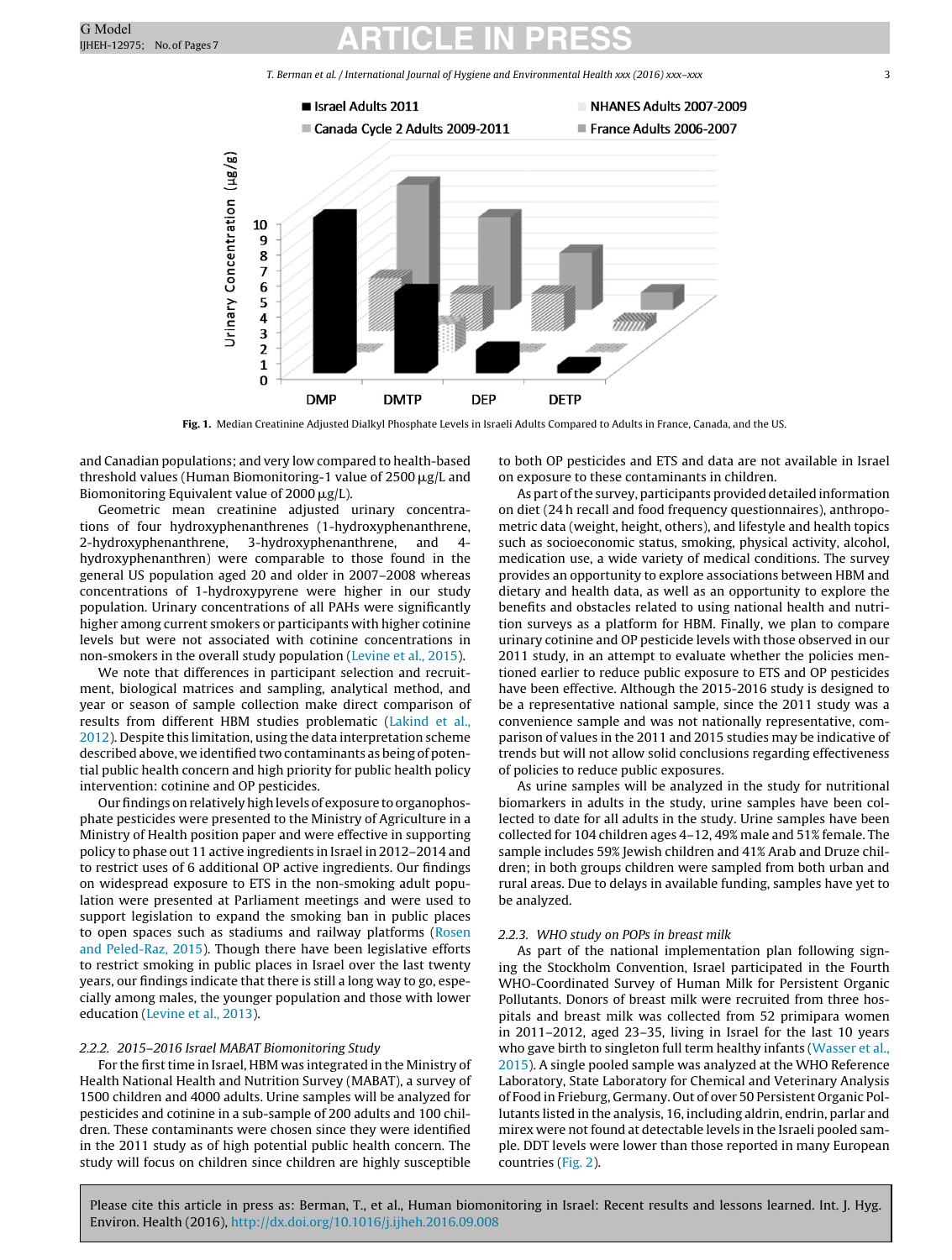T. Berman et al. / International Journal of Hygiene and Environmental Health xxx (2016) xxx–xxx 3

<span id="page-2-0"></span>

**Fig. 1.** Median Creatinine Adjusted Dialkyl Phosphate Levels in Israeli Adults Compared to Adults in France, Canada, and the US.

and Canadian populations; and very low compared to health-based threshold values (Human Biomonitoring-1 value of 2500  $\mu$ g/L and Biomonitoring Equivalent value of 2000  $\mu$ g/L).

Geometric mean creatinine adjusted urinary concentrations of four hydroxyphenanthrenes (1-hydroxyphenanthrene, 2-hydroxyphenanthrene, 3-hydroxyphenanthrene, and 4 hydroxyphenanthren) were comparable to those found in the general US population aged 20 and older in 2007–2008 whereas concentrations of 1-hydroxypyrene were higher in our study population. Urinary concentrations of all PAHs were significantly higher among current smokers or participants with higher cotinine levels but were not associated with cotinine concentrations in non-smokers in the overall study population ([Levine](#page-6-0) et [al.,](#page-6-0) [2015\).](#page-6-0)

We note that differences in participant selection and recruitment, biological matrices and sampling, analytical method, and year or season of sample collection make direct comparison of results from different HBM studies problematic ([Lakind](#page-6-0) et [al.,](#page-6-0) [2012\).](#page-6-0) Despite this limitation, using the data interpretation scheme described above, we identified two contaminants as being of potential public health concern and high priority for public health policy intervention: cotinine and OP pesticides.

Our findings on relatively high levels of exposure to organophosphate pesticides were presented to the Ministry of Agriculture in a Ministry of Health position paper and were effective in supporting policy to phase out 11 active ingredients in Israel in 2012–2014 and to restrict uses of 6 additional OP active ingredients. Our findings on widespread exposure to ETS in the non-smoking adult population were presented at Parliament meetings and were used to support legislation to expand the smoking ban in public places to open spaces such as stadiums and railway platforms [\(Rosen](#page-6-0) [and](#page-6-0) [Peled-Raz,](#page-6-0) [2015\).](#page-6-0) Though there have been legislative efforts to restrict smoking in public places in Israel over the last twenty years, our findings indicate that there is still a long way to go, especially among males, the younger population and those with lower education ([Levine](#page-6-0) et [al.,](#page-6-0) [2013\).](#page-6-0)

#### 2.2.2. 2015–2016 Israel MABAT Biomonitoring Study

For the first time in Israel, HBM was integrated in the Ministry of Health National Health and Nutrition Survey (MABAT), a survey of 1500 children and 4000 adults. Urine samples will be analyzed for pesticides and cotinine in a sub-sample of 200 adults and 100 children. These contaminants were chosen since they were identified in the 2011 study as of high potential public health concern. The study will focus on children since children are highly susceptible

to both OP pesticides and ETS and data are not available in Israel on exposure to these contaminants in children.

As part of the survey, participants provided detailed information on diet (24 h recall and food frequency questionnaires), anthropometric data (weight, height, others), and lifestyle and health topics such as socioeconomic status, smoking, physical activity, alcohol, medication use, a wide variety of medical conditions. The survey provides an opportunity to explore associations between HBM and dietary and health data, as well as an opportunity to explore the benefits and obstacles related to using national health and nutrition surveys as a platform for HBM. Finally, we plan to compare urinary cotinine and OP pesticide levels with those observed in our 2011 study, in an attempt to evaluate whether the policies mentioned earlier to reduce public exposure to ETS and OP pesticides have been effective. Although the 2015-2016 study is designed to be a representative national sample, since the 2011 study was a convenience sample and was not nationally representative, comparison of values in the 2011 and 2015 studies may be indicative of trends but will not allow solid conclusions regarding effectiveness of policies to reduce public exposures.

As urine samples will be analyzed in the study for nutritional biomarkers in adults in the study, urine samples have been collected to date for all adults in the study. Urine samples have been collected for 104 children ages 4–12, 49% male and 51% female. The sample includes 59% Jewish children and 41% Arab and Druze children; in both groups children were sampled from both urban and rural areas. Due to delays in available funding, samples have yet to be analyzed.

#### 2.2.3. WHO study on POPs in breast milk

As part of the national implementation plan following signing the Stockholm Convention, Israel participated in the Fourth WHO-Coordinated Survey of Human Milk for Persistent Organic Pollutants. Donors of breast milk were recruited from three hospitals and breast milk was collected from 52 primipara women in 2011–2012, aged 23–35, living in Israel for the last 10 years who gave birth to singleton full term healthy infants [\(Wasser](#page-6-0) et [al.,](#page-6-0) [2015\).](#page-6-0) A single pooled sample was analyzed at the WHO Reference Laboratory, State Laboratory for Chemical and Veterinary Analysis of Food in Frieburg, Germany. Out of over 50 Persistent Organic Pollutants listed in the analysis, 16, including aldrin, endrin, parlar and mirex were not found at detectable levels in the Israeli pooled sample. DDT levels were lower than those reported in many European countries [\(Fig.](#page-3-0) 2).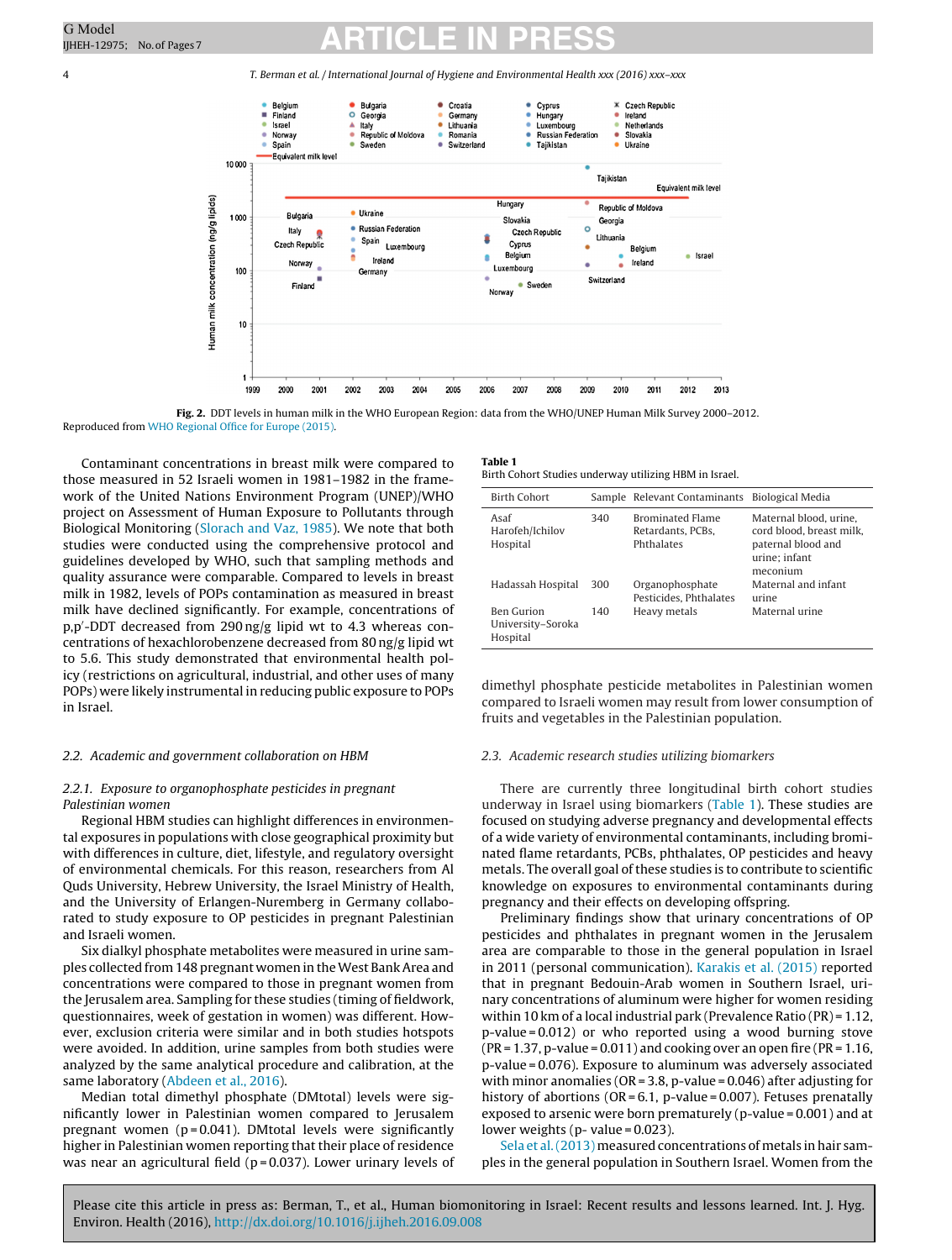<span id="page-3-0"></span>4 T. Berman et al. / International Journal of Hygiene and Environmental Health xxx (2016) xxx–xxx





Contaminant concentrations in breast milk were compared to those measured in 52 Israeli women in 1981–1982 in the framework of the United Nations Environment Program (UNEP)/WHO project on Assessment of Human Exposure to Pollutants through Biological Monitoring [\(Slorach](#page-6-0) [and](#page-6-0) [Vaz,](#page-6-0) [1985\).](#page-6-0) We note that both studies were conducted using the comprehensive protocol and guidelines developed by WHO, such that sampling methods and quality assurance were comparable. Compared to levels in breast milk in 1982, levels of POPs contamination as measured in breast milk have declined significantly. For example, concentrations of p,p -DDT decreased from 290 ng/g lipid wt to 4.3 whereas concentrations of hexachlorobenzene decreased from 80 ng/g lipid wt to 5.6. This study demonstrated that environmental health policy (restrictions on agricultural, industrial, and other uses of many POPs) were likely instrumental in reducing public exposure to POPs in Israel.

#### 2.2. Academic and government collaboration on HBM

#### 2.2.1. Exposure to organophosphate pesticides in pregnant Palestinian women

Regional HBM studies can highlight differences in environmental exposures in populations with close geographical proximity but with differences in culture, diet, lifestyle, and regulatory oversight of environmental chemicals. For this reason, researchers from Al Quds University, Hebrew University, the Israel Ministry of Health, and the University of Erlangen-Nuremberg in Germany collaborated to study exposure to OP pesticides in pregnant Palestinian and Israeli women.

Six dialkyl phosphate metabolites were measured in urine samples collected from 148 pregnant women in theWest BankArea and concentrations were compared to those in pregnant women from the Jerusalem area. Sampling for these studies (timing of fieldwork, questionnaires, week of gestation in women) was different. However, exclusion criteria were similar and in both studies hotspots were avoided. In addition, urine samples from both studies were analyzed by the same analytical procedure and calibration, at the same laboratory ([Abdeen](#page-6-0) et [al.,](#page-6-0) [2016\).](#page-6-0)

Median total dimethyl phosphate (DMtotal) levels were significantly lower in Palestinian women compared to Jerusalem pregnant women  $(p = 0.041)$ . DMtotal levels were significantly higher in Palestinian women reporting that their place of residence was near an agricultural field ( $p = 0.037$ ). Lower urinary levels of

#### **Table 1** Birth Cohort Studies underway utilizing HBM in Israel.

| <b>Birth Cohort</b>                                |     | Sample Relevant Contaminants Biological Media              |                                                                                                       |
|----------------------------------------------------|-----|------------------------------------------------------------|-------------------------------------------------------------------------------------------------------|
| Asaf<br>Harofeh/Ichilov<br>Hospital                | 340 | <b>Brominated Flame</b><br>Retardants, PCBs,<br>Phthalates | Maternal blood, urine.<br>cord blood, breast milk,<br>paternal blood and<br>urine; infant<br>meconium |
| Hadassah Hospital                                  | 300 | Organophosphate<br>Pesticides. Phthalates                  | Maternal and infant<br>urine                                                                          |
| <b>Ben Gurion</b><br>University-Soroka<br>Hospital | 140 | Heavy metals                                               | Maternal urine                                                                                        |

dimethyl phosphate pesticide metabolites in Palestinian women compared to Israeli women may result from lower consumption of fruits and vegetables in the Palestinian population.

#### 2.3. Academic research studies utilizing biomarkers

There are currently three longitudinal birth cohort studies underway in Israel using biomarkers (Table 1). These studies are focused on studying adverse pregnancy and developmental effects of a wide variety of environmental contaminants, including brominated flame retardants, PCBs, phthalates, OP pesticides and heavy metals. The overall goal of these studies is to contribute to scientific knowledge on exposures to environmental contaminants during pregnancy and their effects on developing offspring.

Preliminary findings show that urinary concentrations of OP pesticides and phthalates in pregnant women in the Jerusalem area are comparable to those in the general population in Israel in 2011 (personal communication). [Karakis](#page-6-0) et [al.](#page-6-0) [\(2015\)](#page-6-0) reported that in pregnant Bedouin-Arab women in Southern Israel, urinary concentrations of aluminum were higher for women residing within 10 km of a local industrial park (Prevalence Ratio (PR) = 1.12, p-value = 0.012) or who reported using a wood burning stove  $(PR = 1.37, p-value = 0.011)$  and cooking over an open fire  $(PR = 1.16, p)$ p-value = 0.076). Exposure to aluminum was adversely associated with minor anomalies (OR = 3.8, p-value = 0.046) after adjusting for history of abortions ( $OR = 6.1$ , p-value = 0.007). Fetuses prenatally exposed to arsenic were born prematurely (p-value = 0.001) and at lower weights (p- value = 0.023).

[Sela](#page-6-0) et [al.\(2013\)](#page-6-0) measured concentrations of metals in hair samples in the general population in Southern Israel. Women from the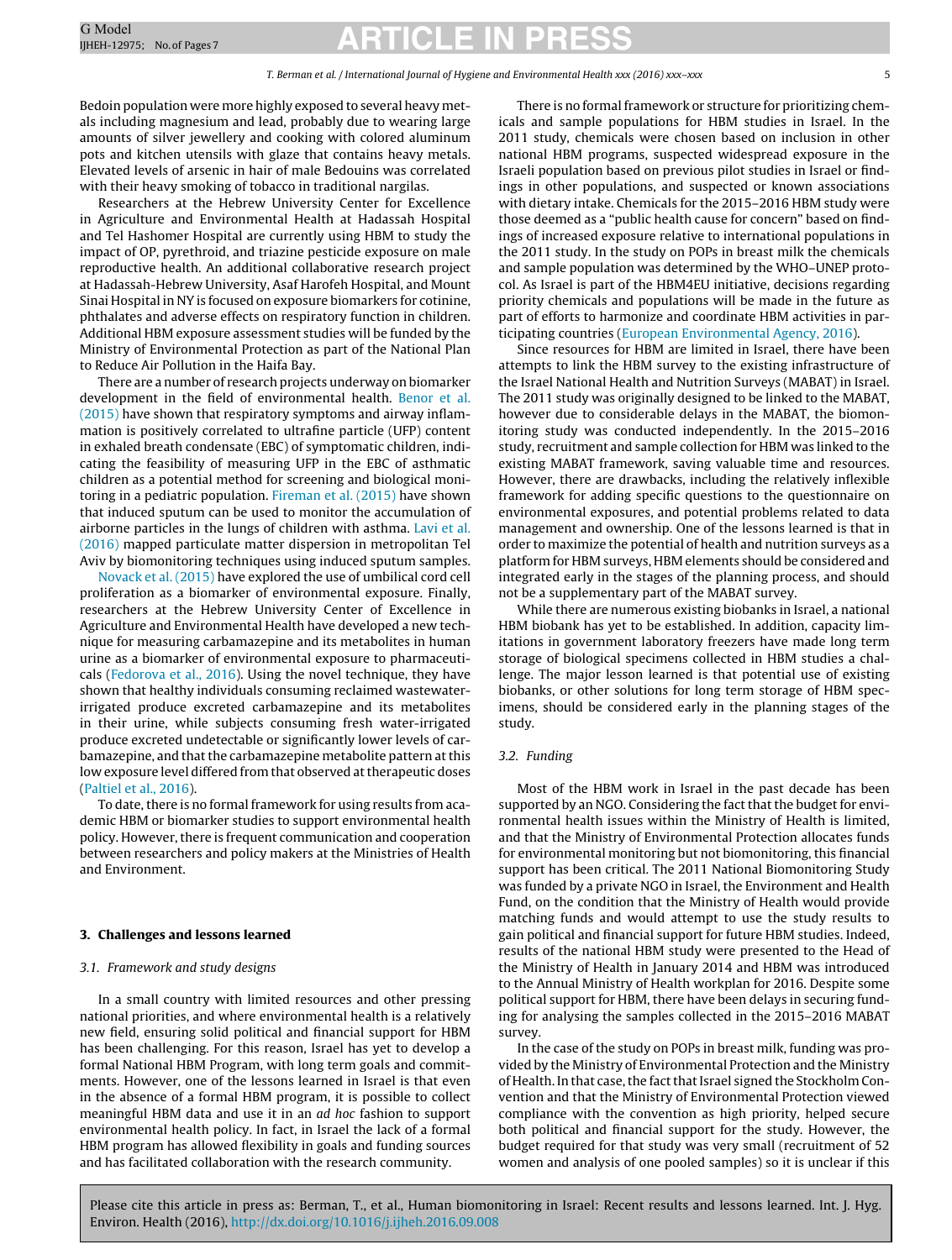Bedoin population were more highly exposed to several heavy metals including magnesium and lead, probably due to wearing large amounts of silver jewellery and cooking with colored aluminum pots and kitchen utensils with glaze that contains heavy metals. Elevated levels of arsenic in hair of male Bedouins was correlated with their heavy smoking of tobacco in traditional nargilas.

Researchers at the Hebrew University Center for Excellence in Agriculture and Environmental Health at Hadassah Hospital and Tel Hashomer Hospital are currently using HBM to study the impact of OP, pyrethroid, and triazine pesticide exposure on male reproductive health. An additional collaborative research project at Hadassah-Hebrew University, Asaf Harofeh Hospital, and Mount Sinai Hospital in NY is focused on exposure biomarkers for cotinine, phthalates and adverse effects on respiratory function in children. Additional HBM exposure assessment studies will be funded by the Ministry of Environmental Protection as part of the National Plan to Reduce Air Pollution in the Haifa Bay.

There are a number of research projects underway on biomarker development in the field of environmental health. [Benor](#page-6-0) et [al.](#page-6-0) [\(2015\)](#page-6-0) have shown that respiratory symptoms and airway inflammation is positively correlated to ultrafine particle (UFP) content in exhaled breath condensate (EBC) of symptomatic children, indicating the feasibility of measuring UFP in the EBC of asthmatic children as a potential method for screening and biological monitoring in a pediatric population. [Fireman](#page-6-0) et [al.](#page-6-0) [\(2015\)](#page-6-0) have shown that induced sputum can be used to monitor the accumulation of airborne particles in the lungs of children with asthma. [Lavi](#page-6-0) et [al.](#page-6-0) [\(2016\)](#page-6-0) mapped particulate matter dispersion in metropolitan Tel Aviv by biomonitoring techniques using induced sputum samples.

[Novack](#page-6-0) et [al.](#page-6-0) [\(2015\)](#page-6-0) have explored the use of umbilical cord cell proliferation as a biomarker of environmental exposure. Finally, researchers at the Hebrew University Center of Excellence in Agriculture and Environmental Health have developed a new technique for measuring carbamazepine and its metabolites in human urine as a biomarker of environmental exposure to pharmaceuticals ([Fedorova](#page-6-0) et [al.,](#page-6-0) [2016\).](#page-6-0) Using the novel technique, they have shown that healthy individuals consuming reclaimed wastewaterirrigated produce excreted carbamazepine and its metabolites in their urine, while subjects consuming fresh water-irrigated produce excreted undetectable or significantly lower levels of carbamazepine, and that the carbamazepine metabolite pattern at this low exposure level differed from that observed at therapeutic doses ([Paltiel](#page-6-0) et [al.,](#page-6-0) [2016\).](#page-6-0)

To date, there is no formal framework for using results from academic HBM or biomarker studies to support environmental health policy. However, there is frequent communication and cooperation between researchers and policy makers at the Ministries of Health and Environment.

#### **3. Challenges and lessons learned**

#### 3.1. Framework and study designs

In a small country with limited resources and other pressing national priorities, and where environmental health is a relatively new field, ensuring solid political and financial support for HBM has been challenging. For this reason, Israel has yet to develop a formal National HBM Program, with long term goals and commitments. However, one of the lessons learned in Israel is that even in the absence of a formal HBM program, it is possible to collect meaningful HBM data and use it in an ad hoc fashion to support environmental health policy. In fact, in Israel the lack of a formal HBM program has allowed flexibility in goals and funding sources and has facilitated collaboration with the research community.

There is no formal framework or structure for prioritizing chemicals and sample populations for HBM studies in Israel. In the 2011 study, chemicals were chosen based on inclusion in other national HBM programs, suspected widespread exposure in the Israeli population based on previous pilot studies in Israel or findings in other populations, and suspected or known associations with dietary intake. Chemicals for the 2015–2016 HBM study were those deemed as a "public health cause for concern" based on findings of increased exposure relative to international populations in the 2011 study. In the study on POPs in breast milk the chemicals and sample population was determined by the WHO–UNEP protocol. As Israel is part of the HBM4EU initiative, decisions regarding priority chemicals and populations will be made in the future as part of efforts to harmonize and coordinate HBM activities in participating countries ([European](#page-6-0) [Environmental](#page-6-0) [Agency,](#page-6-0) [2016\).](#page-6-0)

Since resources for HBM are limited in Israel, there have been attempts to link the HBM survey to the existing infrastructure of the Israel National Health and Nutrition Surveys (MABAT) in Israel. The 2011 study was originally designed to be linked to the MABAT, however due to considerable delays in the MABAT, the biomonitoring study was conducted independently. In the 2015–2016 study, recruitment and sample collection for HBM was linked to the existing MABAT framework, saving valuable time and resources. However, there are drawbacks, including the relatively inflexible framework for adding specific questions to the questionnaire on environmental exposures, and potential problems related to data management and ownership. One of the lessons learned is that in order to maximize the potential of health and nutrition surveys as a platform for HBM surveys, HBM elements should be considered and integrated early in the stages of the planning process, and should not be a supplementary part of the MABAT survey.

While there are numerous existing biobanks in Israel, a national HBM biobank has yet to be established. In addition, capacity limitations in government laboratory freezers have made long term storage of biological specimens collected in HBM studies a challenge. The major lesson learned is that potential use of existing biobanks, or other solutions for long term storage of HBM specimens, should be considered early in the planning stages of the study.

#### 3.2. Funding

Most of the HBM work in Israel in the past decade has been supported by an NGO. Considering the fact that the budget for environmental health issues within the Ministry of Health is limited, and that the Ministry of Environmental Protection allocates funds for environmental monitoring but not biomonitoring, this financial support has been critical. The 2011 National Biomonitoring Study was funded by a private NGO in Israel, the Environment and Health Fund, on the condition that the Ministry of Health would provide matching funds and would attempt to use the study results to gain political and financial support for future HBM studies. Indeed, results of the national HBM study were presented to the Head of the Ministry of Health in January 2014 and HBM was introduced to the Annual Ministry of Health workplan for 2016. Despite some political support for HBM, there have been delays in securing funding for analysing the samples collected in the 2015–2016 MABAT survey.

In the case of the study on POPs in breast milk, funding was provided by the Ministry of Environmental Protection and the Ministry of Health. In that case, the fact that Israel signed the Stockholm Convention and that the Ministry of Environmental Protection viewed compliance with the convention as high priority, helped secure both political and financial support for the study. However, the budget required for that study was very small (recruitment of 52 women and analysis of one pooled samples) so it is unclear if this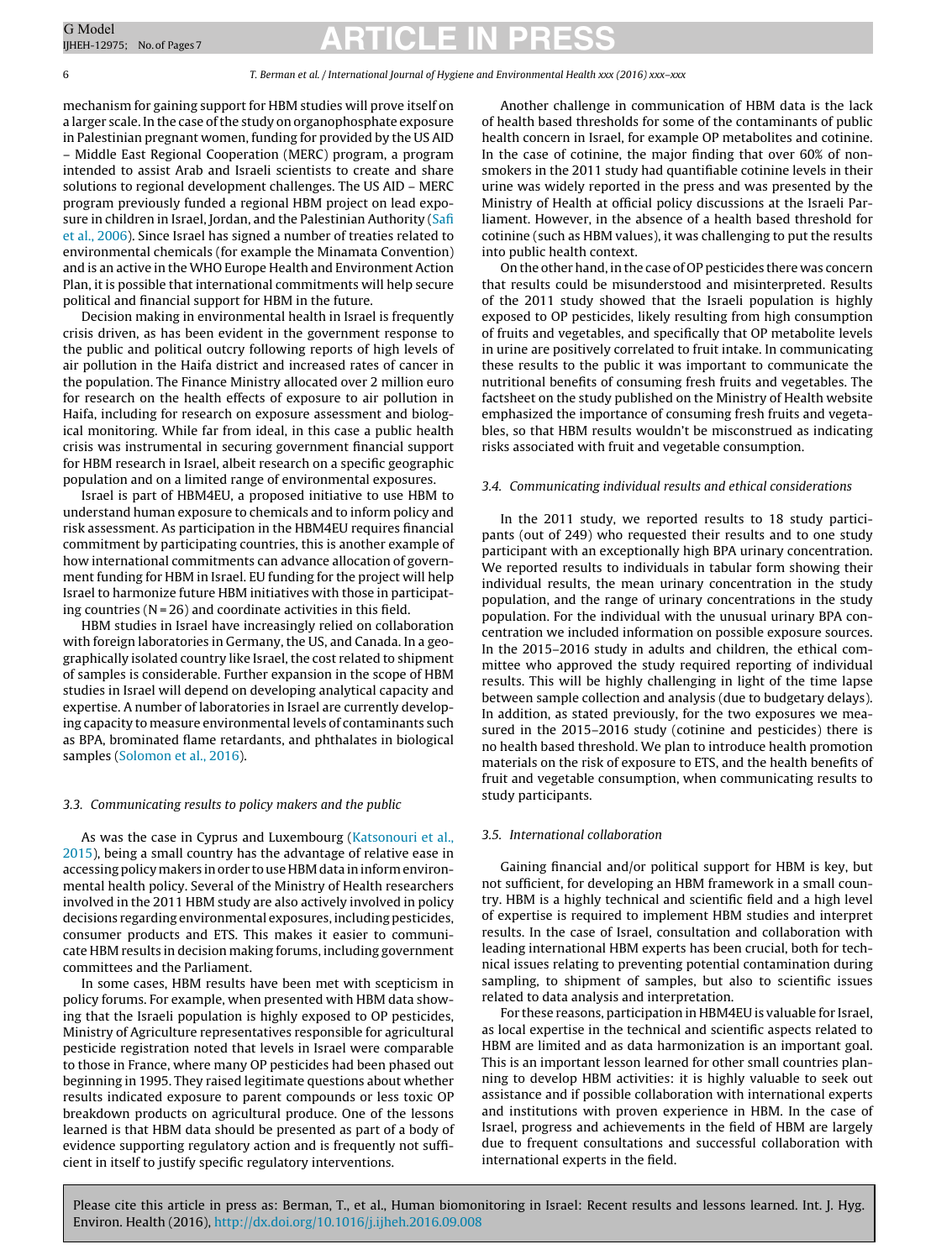#### 6 T. Berman et al. / International Journal of Hygiene and Environmental Health xxx (2016) xxx–xxx

mechanism for gaining support for HBM studies will prove itself on a larger scale. In the case of the study on organophosphate exposure in Palestinian pregnant women, funding for provided by the US AID – Middle East Regional Cooperation (MERC) program, a program intended to assist Arab and Israeli scientists to create and share solutions to regional development challenges. The US AID – MERC program previously funded a regional HBM project on lead expo-sure in children in Israel, Jordan, and the Palestinian Authority ([Safi](#page-6-0) et [al.,](#page-6-0) [2006\).](#page-6-0) Since Israel has signed a number of treaties related to environmental chemicals (for example the Minamata Convention) and is an active in the WHO Europe Health and Environment Action Plan, it is possible that international commitments will help secure political and financial support for HBM in the future.

Decision making in environmental health in Israel is frequently crisis driven, as has been evident in the government response to the public and political outcry following reports of high levels of air pollution in the Haifa district and increased rates of cancer in the population. The Finance Ministry allocated over 2 million euro for research on the health effects of exposure to air pollution in Haifa, including for research on exposure assessment and biological monitoring. While far from ideal, in this case a public health crisis was instrumental in securing government financial support for HBM research in Israel, albeit research on a specific geographic population and on a limited range of environmental exposures.

Israel is part of HBM4EU, a proposed initiative to use HBM to understand human exposure to chemicals and to inform policy and risk assessment. As participation in the HBM4EU requires financial commitment by participating countries, this is another example of how international commitments can advance allocation of government funding for HBM in Israel. EU funding for the project will help Israel to harmonize future HBM initiatives with those in participating countries  $(N = 26)$  and coordinate activities in this field.

HBM studies in Israel have increasingly relied on collaboration with foreign laboratories in Germany, the US, and Canada. In a geographically isolated country like Israel, the cost related to shipment of samples is considerable. Further expansion in the scope of HBM studies in Israel will depend on developing analytical capacity and expertise. A number of laboratories in Israel are currently developing capacity to measure environmental levels of contaminants such as BPA, brominated flame retardants, and phthalates in biological samples [\(Solomon](#page-6-0) et [al.,](#page-6-0) [2016\).](#page-6-0)

#### 3.3. Communicating results to policy makers and the public

As was the case in Cyprus and Luxembourg [\(Katsonouri](#page-6-0) et [al.,](#page-6-0) [2015\),](#page-6-0) being a small country has the advantage of relative ease in accessing policy makers in order to use HBM data in inform environmental health policy. Several of the Ministry of Health researchers involved in the 2011 HBM study are also actively involved in policy decisions regarding environmental exposures, including pesticides, consumer products and ETS. This makes it easier to communicate HBM results in decision making forums, including government committees and the Parliament.

In some cases, HBM results have been met with scepticism in policy forums. For example, when presented with HBM data showing that the Israeli population is highly exposed to OP pesticides, Ministry of Agriculture representatives responsible for agricultural pesticide registration noted that levels in Israel were comparable to those in France, where many OP pesticides had been phased out beginning in 1995. They raised legitimate questions about whether results indicated exposure to parent compounds or less toxic OP breakdown products on agricultural produce. One of the lessons learned is that HBM data should be presented as part of a body of evidence supporting regulatory action and is frequently not sufficient in itself to justify specific regulatory interventions.

Another challenge in communication of HBM data is the lack of health based thresholds for some of the contaminants of public health concern in Israel, for example OP metabolites and cotinine. In the case of cotinine, the major finding that over 60% of nonsmokers in the 2011 study had quantifiable cotinine levels in their urine was widely reported in the press and was presented by the Ministry of Health at official policy discussions at the Israeli Parliament. However, in the absence of a health based threshold for cotinine (such as HBM values), it was challenging to put the results into public health context.

On the other hand, in the case of OP pesticides there was concern that results could be misunderstood and misinterpreted. Results of the 2011 study showed that the Israeli population is highly exposed to OP pesticides, likely resulting from high consumption of fruits and vegetables, and specifically that OP metabolite levels in urine are positively correlated to fruit intake. In communicating these results to the public it was important to communicate the nutritional benefits of consuming fresh fruits and vegetables. The factsheet on the study published on the Ministry of Health website emphasized the importance of consuming fresh fruits and vegetables, so that HBM results wouldn't be misconstrued as indicating risks associated with fruit and vegetable consumption.

#### 3.4. Communicating individual results and ethical considerations

In the 2011 study, we reported results to 18 study participants (out of 249) who requested their results and to one study participant with an exceptionally high BPA urinary concentration. We reported results to individuals in tabular form showing their individual results, the mean urinary concentration in the study population, and the range of urinary concentrations in the study population. For the individual with the unusual urinary BPA concentration we included information on possible exposure sources. In the 2015–2016 study in adults and children, the ethical committee who approved the study required reporting of individual results. This will be highly challenging in light of the time lapse between sample collection and analysis (due to budgetary delays). In addition, as stated previously, for the two exposures we measured in the 2015–2016 study (cotinine and pesticides) there is no health based threshold. We plan to introduce health promotion materials on the risk of exposure to ETS, and the health benefits of fruit and vegetable consumption, when communicating results to study participants.

#### 3.5. International collaboration

Gaining financial and/or political support for HBM is key, but not sufficient, for developing an HBM framework in a small country. HBM is a highly technical and scientific field and a high level of expertise is required to implement HBM studies and interpret results. In the case of Israel, consultation and collaboration with leading international HBM experts has been crucial, both for technical issues relating to preventing potential contamination during sampling, to shipment of samples, but also to scientific issues related to data analysis and interpretation.

For these reasons, participation in HBM4EU is valuable for Israel, as local expertise in the technical and scientific aspects related to HBM are limited and as data harmonization is an important goal. This is an important lesson learned for other small countries planning to develop HBM activities: it is highly valuable to seek out assistance and if possible collaboration with international experts and institutions with proven experience in HBM. In the case of Israel, progress and achievements in the field of HBM are largely due to frequent consultations and successful collaboration with international experts in the field.